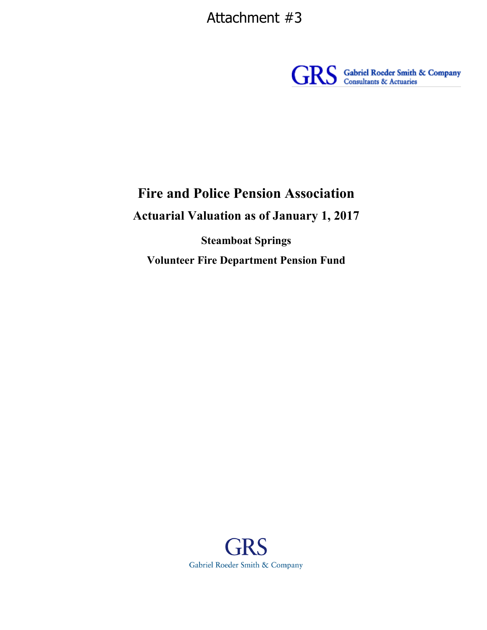Attachment #3



# **Fire and Police Pension Association**

**Actuarial Valuation as of January 1, 2017**

**Steamboat Springs Volunteer Fire Department Pension Fund**

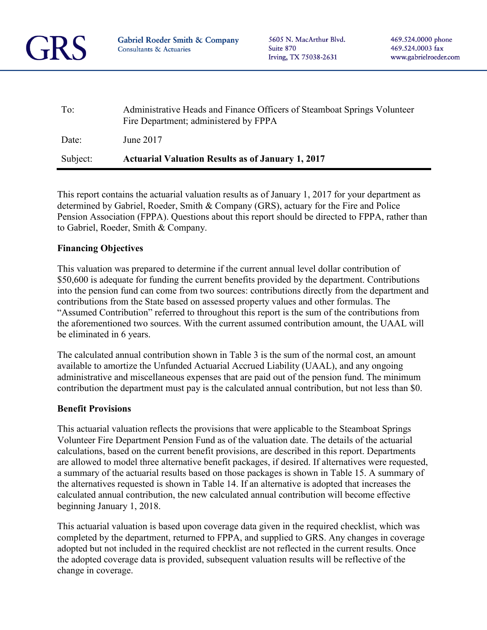

5605 N. MacArthur Blvd. Suite 870 Irving, TX 75038-2631

| $To^{\cdot}$ | Administrative Heads and Finance Officers of Steamboat Springs Volunteer<br>Fire Department; administered by FPPA |
|--------------|-------------------------------------------------------------------------------------------------------------------|
| Date:        | June 2017                                                                                                         |
| Subject:     | <b>Actuarial Valuation Results as of January 1, 2017</b>                                                          |

This report contains the actuarial valuation results as of January 1, 2017 for your department as determined by Gabriel, Roeder, Smith & Company (GRS), actuary for the Fire and Police Pension Association (FPPA). Questions about this report should be directed to FPPA, rather than to Gabriel, Roeder, Smith & Company.

### **Financing Objectives**

This valuation was prepared to determine if the current annual level dollar contribution of \$50,600 is adequate for funding the current benefits provided by the department. Contributions into the pension fund can come from two sources: contributions directly from the department and contributions from the State based on assessed property values and other formulas. The "Assumed Contribution" referred to throughout this report is the sum of the contributions from the aforementioned two sources. With the current assumed contribution amount, the UAAL will be eliminated in 6 years.

The calculated annual contribution shown in Table 3 is the sum of the normal cost, an amount available to amortize the Unfunded Actuarial Accrued Liability (UAAL), and any ongoing administrative and miscellaneous expenses that are paid out of the pension fund. The minimum contribution the department must pay is the calculated annual contribution, but not less than \$0.

#### **Benefit Provisions**

This actuarial valuation reflects the provisions that were applicable to the Steamboat Springs Volunteer Fire Department Pension Fund as of the valuation date. The details of the actuarial calculations, based on the current benefit provisions, are described in this report. Departments are allowed to model three alternative benefit packages, if desired. If alternatives were requested, a summary of the actuarial results based on those packages is shown in Table 15. A summary of the alternatives requested is shown in Table 14. If an alternative is adopted that increases the calculated annual contribution, the new calculated annual contribution will become effective beginning January 1, 2018.

This actuarial valuation is based upon coverage data given in the required checklist, which was completed by the department, returned to FPPA, and supplied to GRS. Any changes in coverage adopted but not included in the required checklist are not reflected in the current results. Once the adopted coverage data is provided, subsequent valuation results will be reflective of the change in coverage.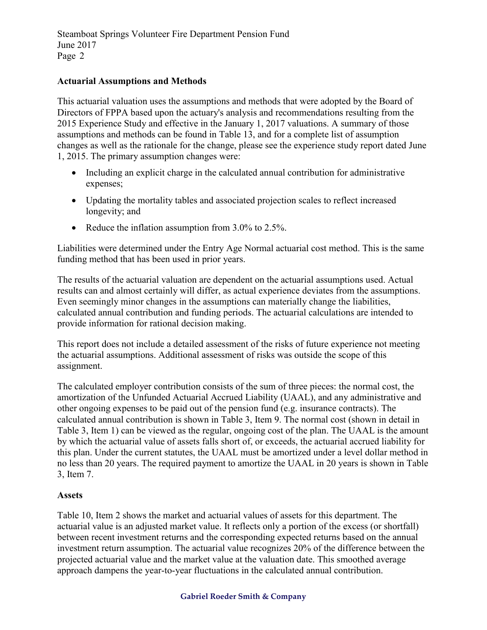### **Actuarial Assumptions and Methods**

This actuarial valuation uses the assumptions and methods that were adopted by the Board of Directors of FPPA based upon the actuary's analysis and recommendations resulting from the 2015 Experience Study and effective in the January 1, 2017 valuations. A summary of those assumptions and methods can be found in Table 13, and for a complete list of assumption changes as well as the rationale for the change, please see the experience study report dated June 1, 2015. The primary assumption changes were:

- Including an explicit charge in the calculated annual contribution for administrative expenses;
- Updating the mortality tables and associated projection scales to reflect increased longevity; and
- Reduce the inflation assumption from  $3.0\%$  to  $2.5\%$ .

Liabilities were determined under the Entry Age Normal actuarial cost method. This is the same funding method that has been used in prior years.

The results of the actuarial valuation are dependent on the actuarial assumptions used. Actual results can and almost certainly will differ, as actual experience deviates from the assumptions. Even seemingly minor changes in the assumptions can materially change the liabilities, calculated annual contribution and funding periods. The actuarial calculations are intended to provide information for rational decision making.

This report does not include a detailed assessment of the risks of future experience not meeting the actuarial assumptions. Additional assessment of risks was outside the scope of this assignment.

The calculated employer contribution consists of the sum of three pieces: the normal cost, the amortization of the Unfunded Actuarial Accrued Liability (UAAL), and any administrative and other ongoing expenses to be paid out of the pension fund (e.g. insurance contracts). The calculated annual contribution is shown in Table 3, Item 9. The normal cost (shown in detail in Table 3, Item 1) can be viewed as the regular, ongoing cost of the plan. The UAAL is the amount by which the actuarial value of assets falls short of, or exceeds, the actuarial accrued liability for this plan. Under the current statutes, the UAAL must be amortized under a level dollar method in no less than 20 years. The required payment to amortize the UAAL in 20 years is shown in Table 3, Item 7.

### **Assets**

Table 10, Item 2 shows the market and actuarial values of assets for this department. The actuarial value is an adjusted market value. It reflects only a portion of the excess (or shortfall) between recent investment returns and the corresponding expected returns based on the annual investment return assumption. The actuarial value recognizes 20% of the difference between the projected actuarial value and the market value at the valuation date. This smoothed average approach dampens the year-to-year fluctuations in the calculated annual contribution.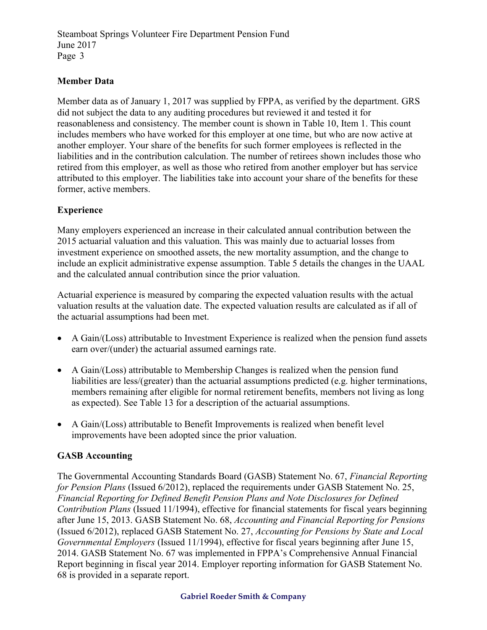## **Member Data**

Member data as of January 1, 2017 was supplied by FPPA, as verified by the department. GRS did not subject the data to any auditing procedures but reviewed it and tested it for reasonableness and consistency. The member count is shown in Table 10, Item 1. This count includes members who have worked for this employer at one time, but who are now active at another employer. Your share of the benefits for such former employees is reflected in the liabilities and in the contribution calculation. The number of retirees shown includes those who retired from this employer, as well as those who retired from another employer but has service attributed to this employer. The liabilities take into account your share of the benefits for these former, active members.

## **Experience**

Many employers experienced an increase in their calculated annual contribution between the 2015 actuarial valuation and this valuation. This was mainly due to actuarial losses from investment experience on smoothed assets, the new mortality assumption, and the change to include an explicit administrative expense assumption. Table 5 details the changes in the UAAL and the calculated annual contribution since the prior valuation.

Actuarial experience is measured by comparing the expected valuation results with the actual valuation results at the valuation date. The expected valuation results are calculated as if all of the actuarial assumptions had been met.

- A Gain/(Loss) attributable to Investment Experience is realized when the pension fund assets earn over/(under) the actuarial assumed earnings rate.
- A Gain/(Loss) attributable to Membership Changes is realized when the pension fund liabilities are less/(greater) than the actuarial assumptions predicted (e.g. higher terminations, members remaining after eligible for normal retirement benefits, members not living as long as expected). See Table 13 for a description of the actuarial assumptions.
- A Gain/(Loss) attributable to Benefit Improvements is realized when benefit level improvements have been adopted since the prior valuation.

## **GASB Accounting**

The Governmental Accounting Standards Board (GASB) Statement No. 67, *Financial Reporting for Pension Plans* (Issued 6/2012), replaced the requirements under GASB Statement No. 25, *Financial Reporting for Defined Benefit Pension Plans and Note Disclosures for Defined Contribution Plans* (Issued 11/1994), effective for financial statements for fiscal years beginning after June 15, 2013. GASB Statement No. 68, *Accounting and Financial Reporting for Pensions* (Issued 6/2012), replaced GASB Statement No. 27, *Accounting for Pensions by State and Local Governmental Employers* (Issued 11/1994), effective for fiscal years beginning after June 15, 2014. GASB Statement No. 67 was implemented in FPPA's Comprehensive Annual Financial Report beginning in fiscal year 2014. Employer reporting information for GASB Statement No. 68 is provided in a separate report.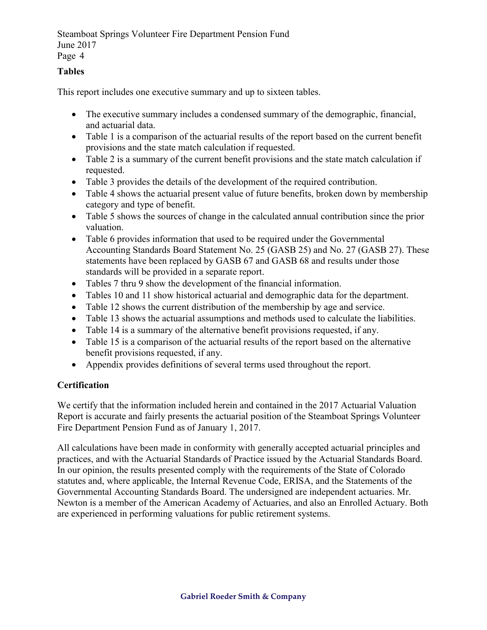## **Tables**

This report includes one executive summary and up to sixteen tables.

- The executive summary includes a condensed summary of the demographic, financial, and actuarial data.
- Table 1 is a comparison of the actuarial results of the report based on the current benefit provisions and the state match calculation if requested.
- Table 2 is a summary of the current benefit provisions and the state match calculation if requested.
- Table 3 provides the details of the development of the required contribution.
- Table 4 shows the actuarial present value of future benefits, broken down by membership category and type of benefit.
- Table 5 shows the sources of change in the calculated annual contribution since the prior valuation.
- Table 6 provides information that used to be required under the Governmental Accounting Standards Board Statement No. 25 (GASB 25) and No. 27 (GASB 27). These statements have been replaced by GASB 67 and GASB 68 and results under those standards will be provided in a separate report.
- Tables 7 thru 9 show the development of the financial information.
- Tables 10 and 11 show historical actuarial and demographic data for the department.
- Table 12 shows the current distribution of the membership by age and service.
- Table 13 shows the actuarial assumptions and methods used to calculate the liabilities.
- Table 14 is a summary of the alternative benefit provisions requested, if any.
- Table 15 is a comparison of the actuarial results of the report based on the alternative benefit provisions requested, if any.
- Appendix provides definitions of several terms used throughout the report.

## **Certification**

We certify that the information included herein and contained in the 2017 Actuarial Valuation Report is accurate and fairly presents the actuarial position of the Steamboat Springs Volunteer Fire Department Pension Fund as of January 1, 2017.

All calculations have been made in conformity with generally accepted actuarial principles and practices, and with the Actuarial Standards of Practice issued by the Actuarial Standards Board. In our opinion, the results presented comply with the requirements of the State of Colorado statutes and, where applicable, the Internal Revenue Code, ERISA, and the Statements of the Governmental Accounting Standards Board. The undersigned are independent actuaries. Mr. Newton is a member of the American Academy of Actuaries, and also an Enrolled Actuary. Both are experienced in performing valuations for public retirement systems.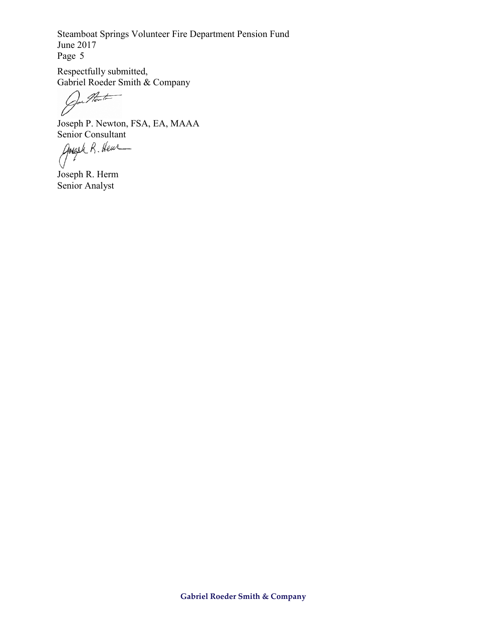Respectfully submitted, Gabriel Roeder Smith & Company

for Heath

Joseph P. Newton, FSA, EA, MAAA

Senior Consultant<br>Angel R. Heur

Joseph R. Herm Senior Analyst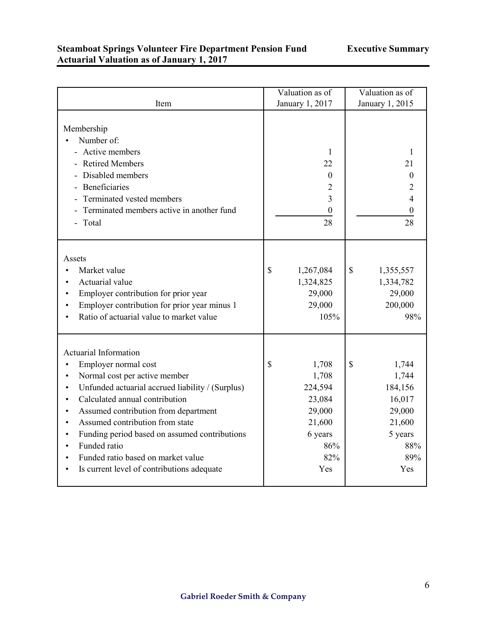### **Steamboat Springs Volunteer Fire Department Pension Fund Actuarial Valuation as of January 1, 2017**

|                                                                                                                                                                                                                                                                                                                                                                                                                                       | Valuation as of                                                                               | Valuation as of                                                                               |
|---------------------------------------------------------------------------------------------------------------------------------------------------------------------------------------------------------------------------------------------------------------------------------------------------------------------------------------------------------------------------------------------------------------------------------------|-----------------------------------------------------------------------------------------------|-----------------------------------------------------------------------------------------------|
| Item                                                                                                                                                                                                                                                                                                                                                                                                                                  | January 1, 2017                                                                               | January 1, 2015                                                                               |
| Membership<br>Number of:<br>- Active members<br>- Retired Members<br>Disabled members<br>Beneficiaries<br>Terminated vested members<br>- Terminated members active in another fund<br>- Total                                                                                                                                                                                                                                         | 1<br>22<br>$\mathbf{0}$<br>$\overline{2}$<br>$\overline{3}$<br>0<br>28                        | 1<br>21<br>$\theta$<br>2<br>4<br>0<br>28                                                      |
| Assets<br>Market value<br>$\bullet$<br>Actuarial value<br>Employer contribution for prior year<br>Employer contribution for prior year minus 1<br>Ratio of actuarial value to market value                                                                                                                                                                                                                                            | \$<br>1,267,084<br>1,324,825<br>29,000<br>29,000<br>105%                                      | \$<br>1,355,557<br>1,334,782<br>29,000<br>200,000<br>98%                                      |
| <b>Actuarial Information</b><br>Employer normal cost<br>Normal cost per active member<br>Unfunded actuarial accrued liability / (Surplus)<br>$\bullet$<br>Calculated annual contribution<br>$\bullet$<br>Assumed contribution from department<br>Assumed contribution from state<br>Funding period based on assumed contributions<br>Funded ratio<br>Funded ratio based on market value<br>Is current level of contributions adequate | \$<br>1,708<br>1,708<br>224,594<br>23,084<br>29,000<br>21,600<br>6 years<br>86%<br>82%<br>Yes | \$<br>1,744<br>1,744<br>184,156<br>16,017<br>29,000<br>21,600<br>5 years<br>88%<br>89%<br>Yes |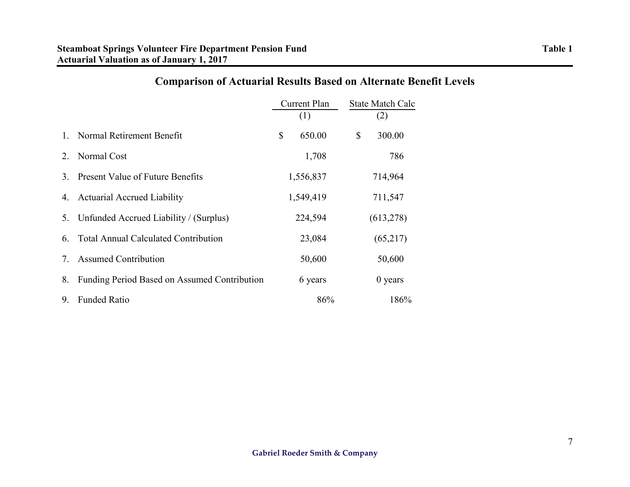|    |                                              | Current Plan<br>(1) |           |    | <b>State Match Calc</b><br>(2) |
|----|----------------------------------------------|---------------------|-----------|----|--------------------------------|
| 1  | Normal Retirement Benefit                    | $\mathbb{S}$        | 650.00    | \$ | 300.00                         |
| 2. | Normal Cost                                  |                     | 1,708     |    | 786                            |
| 3  | <b>Present Value of Future Benefits</b>      |                     | 1,556,837 |    | 714,964                        |
| 4. | <b>Actuarial Accrued Liability</b>           |                     | 1,549,419 |    | 711,547                        |
| 5. | Unfunded Accrued Liability / (Surplus)       |                     | 224,594   |    | (613, 278)                     |
| 6. | <b>Total Annual Calculated Contribution</b>  |                     | 23,084    |    | (65,217)                       |
| 7. | <b>Assumed Contribution</b>                  |                     | 50,600    |    | 50,600                         |
| 8. | Funding Period Based on Assumed Contribution |                     | 6 years   |    | $0$ years                      |
| 9. | <b>Funded Ratio</b>                          |                     | 86%       |    | 186%                           |

# **Comparison of Actuarial Results Based on Alternate Benefit Levels**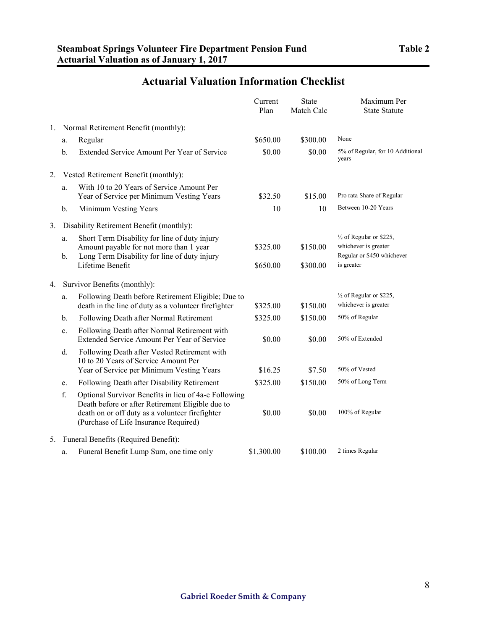|    |          |                                                                                                                                                                                                      | Current<br>Plan | <b>State</b><br>Match Calc | Maximum Per<br><b>State Statute</b>                                                      |
|----|----------|------------------------------------------------------------------------------------------------------------------------------------------------------------------------------------------------------|-----------------|----------------------------|------------------------------------------------------------------------------------------|
| 1. |          | Normal Retirement Benefit (monthly):                                                                                                                                                                 |                 |                            |                                                                                          |
|    | a.       | Regular                                                                                                                                                                                              | \$650.00        | \$300.00                   | None                                                                                     |
|    | b.       | Extended Service Amount Per Year of Service                                                                                                                                                          | \$0.00          | \$0.00                     | 5% of Regular, for 10 Additional<br>years                                                |
| 2. |          | Vested Retirement Benefit (monthly):                                                                                                                                                                 |                 |                            |                                                                                          |
|    | a.       | With 10 to 20 Years of Service Amount Per<br>Year of Service per Minimum Vesting Years                                                                                                               | \$32.50         | \$15.00                    | Pro rata Share of Regular                                                                |
|    | b.       | Minimum Vesting Years                                                                                                                                                                                | 10              | 10                         | Between 10-20 Years                                                                      |
| 3. |          | Disability Retirement Benefit (monthly):                                                                                                                                                             |                 |                            |                                                                                          |
|    | a.<br>b. | Short Term Disability for line of duty injury<br>Amount payable for not more than 1 year<br>Long Term Disability for line of duty injury                                                             | \$325.00        | \$150.00                   | $\frac{1}{2}$ of Regular or \$225,<br>whichever is greater<br>Regular or \$450 whichever |
|    |          | Lifetime Benefit                                                                                                                                                                                     | \$650.00        | \$300.00                   | is greater                                                                               |
| 4. |          | Survivor Benefits (monthly):                                                                                                                                                                         |                 |                            |                                                                                          |
|    | a.       | Following Death before Retirement Eligible; Due to<br>death in the line of duty as a volunteer firefighter                                                                                           | \$325.00        | \$150.00                   | $\frac{1}{2}$ of Regular or \$225,<br>whichever is greater                               |
|    | b.       | Following Death after Normal Retirement                                                                                                                                                              | \$325.00        | \$150.00                   | 50% of Regular                                                                           |
|    | c.       | Following Death after Normal Retirement with<br>Extended Service Amount Per Year of Service                                                                                                          | \$0.00          | \$0.00                     | 50% of Extended                                                                          |
|    | d.       | Following Death after Vested Retirement with<br>10 to 20 Years of Service Amount Per<br>Year of Service per Minimum Vesting Years                                                                    | \$16.25         | \$7.50                     | 50% of Vested                                                                            |
|    | e.       | Following Death after Disability Retirement                                                                                                                                                          | \$325.00        | \$150.00                   | 50% of Long Term                                                                         |
|    | f.       | Optional Survivor Benefits in lieu of 4a-e Following<br>Death before or after Retirement Eligible due to<br>death on or off duty as a volunteer firefighter<br>(Purchase of Life Insurance Required) | \$0.00          | \$0.00                     | 100% of Regular                                                                          |
| 5. |          | Funeral Benefits (Required Benefit):                                                                                                                                                                 |                 |                            |                                                                                          |
|    | a.       | Funeral Benefit Lump Sum, one time only                                                                                                                                                              | \$1,300.00      | \$100.00                   | 2 times Regular                                                                          |

# **Actuarial Valuation Information Checklist**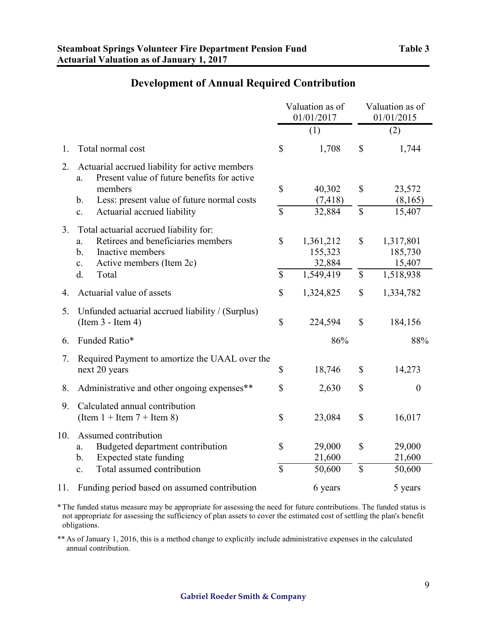|                |                                                                                                                                                                                                                     |                               | Valuation as of<br>01/01/2017               | Valuation as of<br>01/01/2015   |                                             |  |
|----------------|---------------------------------------------------------------------------------------------------------------------------------------------------------------------------------------------------------------------|-------------------------------|---------------------------------------------|---------------------------------|---------------------------------------------|--|
|                |                                                                                                                                                                                                                     |                               | (1)                                         |                                 | (2)                                         |  |
| 1.             | Total normal cost                                                                                                                                                                                                   | \$                            | 1,708                                       | \$                              | 1,744                                       |  |
| 2.             | Actuarial accrued liability for active members<br>Present value of future benefits for active<br>a.<br>members<br>Less: present value of future normal costs<br>b.<br>Actuarial accrued liability<br>$\mathbf{c}$ . | \$<br>\$                      | 40,302<br>(7, 418)<br>32,884                | \$<br>\$                        | 23,572<br>(8,165)<br>15,407                 |  |
| 3 <sub>1</sub> | Total actuarial accrued liability for:<br>Retirees and beneficiaries members<br>a.<br>Inactive members<br>b <sub>1</sub><br>Active members (Item 2c)<br>$\mathbf{c}$ .<br>d.<br>Total                               | \$<br>\$                      | 1,361,212<br>155,323<br>32,884<br>1,549,419 | \$<br>$\boldsymbol{\mathsf{S}}$ | 1,317,801<br>185,730<br>15,407<br>1,518,938 |  |
| 4.             | Actuarial value of assets                                                                                                                                                                                           | \$                            | 1,324,825                                   | \$                              | 1,334,782                                   |  |
| 5.             | Unfunded actuarial accrued liability / (Surplus)<br>$(Item 3 - Item 4)$                                                                                                                                             | \$                            | 224,594                                     | \$                              | 184,156                                     |  |
| 6.             | Funded Ratio*                                                                                                                                                                                                       |                               | 86%                                         |                                 | 88%                                         |  |
| 7.             | Required Payment to amortize the UAAL over the<br>next 20 years                                                                                                                                                     | \$                            | 18,746                                      | $\mathbb{S}$                    | 14,273                                      |  |
| 8.             | Administrative and other ongoing expenses**                                                                                                                                                                         | \$                            | 2,630                                       | \$                              | $\boldsymbol{0}$                            |  |
| 9.             | Calculated annual contribution<br>(Item $1 +$ Item $7 +$ Item 8)                                                                                                                                                    | \$                            | 23,084                                      | \$                              | 16,017                                      |  |
| 10.            | Assumed contribution<br>Budgeted department contribution<br>$a$ .<br><b>Expected state funding</b><br>$\mathbf b$ .<br>Total assumed contribution<br>$\mathbf{c}$ .                                                 | \$<br>$\overline{\mathbb{S}}$ | 29,000<br>21,600<br>50,600                  | \$<br>$\mathbf S$               | 29,000<br>21,600<br>50,600                  |  |
| 11.            | Funding period based on assumed contribution                                                                                                                                                                        |                               | 6 years                                     |                                 | 5 years                                     |  |

\*The funded status measure may be appropriate for assessing the need for future contributions. The funded status is not appropriate for assessing the sufficiency of plan assets to cover the estimated cost of settling the plan's benefit obligations.

\*\* As of January 1, 2016, this is a method change to explicitly include administrative expenses in the calculated annual contribution.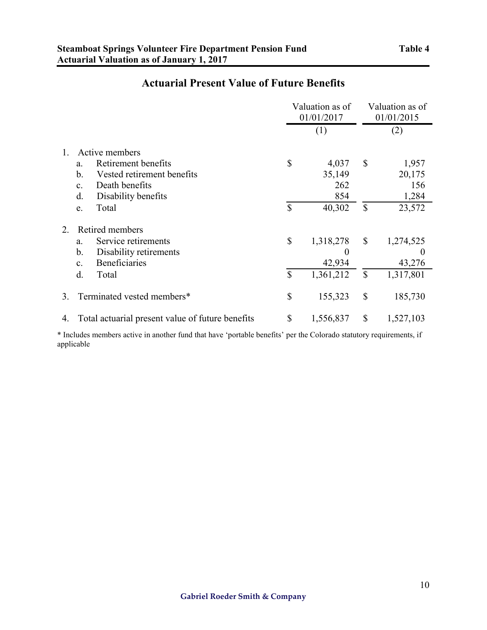## **Actuarial Present Value of Future Benefits**

|    |                                                  |              | Valuation as of<br>01/01/2017 |              | Valuation as of<br>01/01/2015 |  |
|----|--------------------------------------------------|--------------|-------------------------------|--------------|-------------------------------|--|
|    |                                                  |              | (1)                           |              | (2)                           |  |
| 1. | Active members                                   |              |                               |              |                               |  |
|    | Retirement benefits<br>a.                        | $\mathbb{S}$ | 4,037                         | $\mathbb{S}$ | 1,957                         |  |
|    | $\mathbf b$ .<br>Vested retirement benefits      |              | 35,149                        |              | 20,175                        |  |
|    | Death benefits<br>C <sub>1</sub>                 |              | 262                           |              | 156                           |  |
|    | d.<br>Disability benefits                        |              | 854                           |              | 1,284                         |  |
|    | Total<br>e.                                      | $\mathbb{S}$ | 40,302                        | $\mathbb{S}$ | 23,572                        |  |
| 2. | Retired members                                  |              |                               |              |                               |  |
|    | Service retirements<br>a.                        | $\mathbb{S}$ | 1,318,278                     | $\mathbb{S}$ | 1,274,525                     |  |
|    | b.<br>Disability retirements                     |              | $\theta$                      |              | $\theta$                      |  |
|    | <b>Beneficiaries</b><br>C <sub>1</sub>           |              | 42,934                        |              | 43,276                        |  |
|    | d.<br>Total                                      | \$           | 1,361,212                     | $\mathbb{S}$ | 1,317,801                     |  |
| 3. | Terminated vested members*                       | \$           | 155,323                       | \$           | 185,730                       |  |
| 4. | Total actuarial present value of future benefits | $\mathbb{S}$ | 1,556,837                     | \$           | 1,527,103                     |  |

\* Includes members active in another fund that have 'portable benefits' per the Colorado statutory requirements, if applicable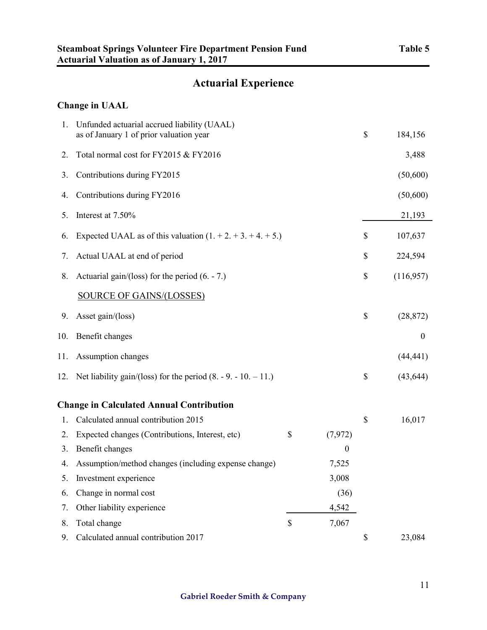## **Actuarial Experience**

## **Change in UAAL**

| 1.  | Unfunded actuarial accrued liability (UAAL)<br>as of January 1 of prior valuation year |                  | \$<br>184,156   |
|-----|----------------------------------------------------------------------------------------|------------------|-----------------|
| 2.  | Total normal cost for FY2015 & FY2016                                                  |                  | 3,488           |
| 3.  | Contributions during FY2015                                                            |                  | (50,600)        |
| 4.  | Contributions during FY2016                                                            |                  | (50,600)        |
| 5.  | Interest at 7.50%                                                                      |                  | 21,193          |
| 6.  | Expected UAAL as of this valuation $(1. + 2. + 3. + 4. + 5.)$                          |                  | \$<br>107,637   |
| 7.  | Actual UAAL at end of period                                                           |                  | \$<br>224,594   |
| 8.  | Actuarial gain/(loss) for the period $(6. - 7.)$                                       |                  | \$<br>(116,957) |
|     | <b>SOURCE OF GAINS/(LOSSES)</b>                                                        |                  |                 |
| 9.  | Asset gain/(loss)                                                                      |                  | \$<br>(28, 872) |
| 10. | Benefit changes                                                                        |                  | $\mathbf{0}$    |
| 11. | Assumption changes                                                                     |                  | (44, 441)       |
| 12. | Net liability gain/(loss) for the period $(8. - 9. - 10. - 11.)$                       |                  | \$<br>(43, 644) |
|     | <b>Change in Calculated Annual Contribution</b>                                        |                  |                 |
| 1.  | Calculated annual contribution 2015                                                    |                  | \$<br>16,017    |
| 2.  | Expected changes (Contributions, Interest, etc)                                        | \$<br>(7, 972)   |                 |
| 3.  | Benefit changes                                                                        | $\boldsymbol{0}$ |                 |
| 4.  | Assumption/method changes (including expense change)                                   | 7,525            |                 |
|     | Investment experience                                                                  | 3,008            |                 |
| 6.  | Change in normal cost                                                                  | (36)             |                 |
| 7.  | Other liability experience                                                             | 4,542            |                 |
| 8.  | Total change                                                                           | \$<br>7,067      |                 |
| 9.  | Calculated annual contribution 2017                                                    |                  | \$<br>23,084    |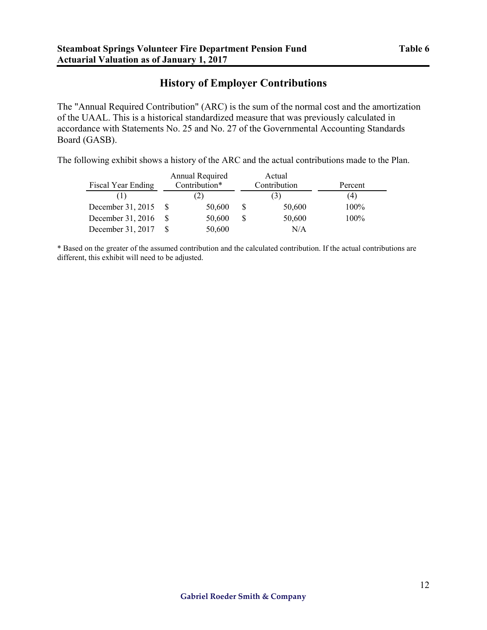## **History of Employer Contributions**

The "Annual Required Contribution" (ARC) is the sum of the normal cost and the amortization of the UAAL. This is a historical standardized measure that was previously calculated in accordance with Statements No. 25 and No. 27 of the Governmental Accounting Standards Board (GASB).

The following exhibit shows a history of the ARC and the actual contributions made to the Plan.

|                    |               | Annual Required | Actual       |                |         |
|--------------------|---------------|-----------------|--------------|----------------|---------|
| Fiscal Year Ending | Contribution* |                 | Contribution |                | Percent |
|                    | 2)            |                 |              | $\mathfrak{z}$ | (4)     |
| December 31, 2015  |               | 50,600          |              | 50,600         | 100%    |
| December 31, 2016  |               | 50,600          |              | 50,600         | 100%    |
| December 31, 2017  |               | 50,600          |              | N/A            |         |

\* Based on the greater of the assumed contribution and the calculated contribution. If the actual contributions are different, this exhibit will need to be adjusted.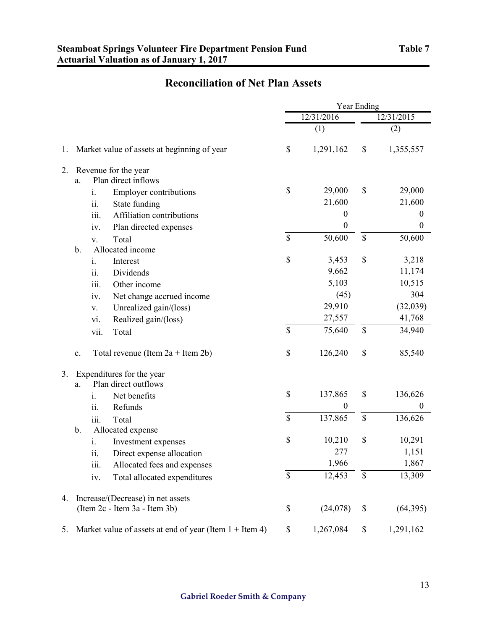## **Reconciliation of Net Plan Assets**

|    |                |                                                           | Year Ending |                  |                           |                  |
|----|----------------|-----------------------------------------------------------|-------------|------------------|---------------------------|------------------|
|    |                |                                                           |             | 12/31/2016       |                           | 12/31/2015       |
|    |                |                                                           |             | (1)              |                           | (2)              |
| 1. |                | Market value of assets at beginning of year               | \$          | 1,291,162        | \$                        | 1,355,557        |
| 2. |                | Revenue for the year                                      |             |                  |                           |                  |
|    | a.             | Plan direct inflows                                       |             |                  |                           |                  |
|    |                | <b>Employer contributions</b><br>$\mathbf{1}$ .           | \$          | 29,000           | \$                        | 29,000           |
|    |                | $\ddot{\mathbf{i}}$<br>State funding                      |             | 21,600           |                           | 21,600           |
|    |                | iii.<br>Affiliation contributions                         |             | $\boldsymbol{0}$ |                           | $\overline{0}$   |
|    |                | Plan directed expenses<br>iv.                             |             | $\boldsymbol{0}$ |                           | $\boldsymbol{0}$ |
|    |                | Total<br>V.                                               | \$          | 50,600           | \$                        | 50,600           |
|    | $b$ .          | Allocated income                                          |             |                  | \$                        |                  |
|    |                | Interest<br>$\mathbf{1}$ .                                | \$          | 3,453<br>9,662   |                           | 3,218            |
|    |                | Dividends<br>11.                                          |             | 5,103            |                           | 11,174<br>10,515 |
|    |                | iii.<br>Other income                                      |             | (45)             |                           | 304              |
|    |                | Net change accrued income<br>iv.                          |             | 29,910           |                           | (32,039)         |
|    |                | Unrealized gain/(loss)<br>V.                              |             | 27,557           |                           | 41,768           |
|    |                | Realized gain/(loss)<br>vi.                               | \$          | 75,640           | $\mathsf{\$}$             | 34,940           |
|    |                | vii.<br>Total                                             |             |                  |                           |                  |
|    | $\mathbf{c}$ . | Total revenue (Item $2a +$ Item $2b$ )                    | \$          | 126,240          | \$                        | 85,540           |
| 3. |                | Expenditures for the year                                 |             |                  |                           |                  |
|    | a.             | Plan direct outflows                                      |             |                  |                           |                  |
|    |                | i.<br>Net benefits                                        | \$          | 137,865          | \$                        | 136,626          |
|    |                | Refunds<br>ii.                                            |             | $\boldsymbol{0}$ |                           | $\boldsymbol{0}$ |
|    |                | Total<br>111.                                             | \$          | 137,865          | $\boldsymbol{\mathsf{S}}$ | 136,626          |
|    | $\mathbf b$ .  | Allocated expense                                         |             |                  |                           |                  |
|    |                | Investment expenses<br>$\mathbf{1}$ .                     | \$          | 10,210           | \$                        | 10,291           |
|    |                | Direct expense allocation<br>11.                          |             | 277              |                           | 1,151            |
|    |                | Allocated fees and expenses<br>iii.                       |             | 1,966            |                           | 1,867            |
|    |                | Total allocated expenditures<br>iv.                       | \$          | 12,453           | \$                        | 13,309           |
| 4. |                | Increase/(Decrease) in net assets                         |             |                  |                           |                  |
|    |                | (Item 2c - Item 3a - Item 3b)                             | \$          | (24, 078)        | \$                        | (64,395)         |
| 5. |                | Market value of assets at end of year (Item $1 +$ Item 4) | \$          | 1,267,084        | \$                        | 1,291,162        |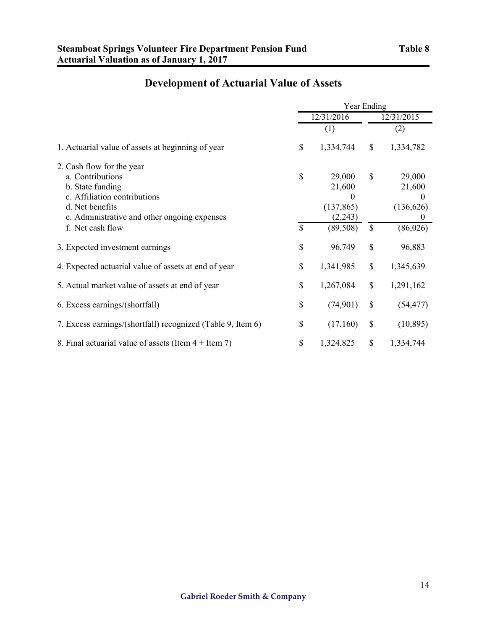|                                                                                                                                                                      | Year Ending        |                                                       |                    |                                                        |
|----------------------------------------------------------------------------------------------------------------------------------------------------------------------|--------------------|-------------------------------------------------------|--------------------|--------------------------------------------------------|
|                                                                                                                                                                      | 12/31/2016         |                                                       |                    | 12/31/2015                                             |
|                                                                                                                                                                      |                    | (1)                                                   |                    | (2)                                                    |
| 1. Actuarial value of assets at beginning of year<br>f. Net cash flow<br>3. Expected investment earnings                                                             | \$                 | 1,334,744                                             | \$                 | 1,334,782                                              |
| 2. Cash flow for the year<br>a. Contributions<br>b. State funding<br>c. Affiliation contributions<br>d. Net benefits<br>e. Administrative and other ongoing expenses | \$<br>$\mathbb{S}$ | 29,000<br>21,600<br>$\Omega$<br>(137, 865)<br>(2,243) | \$<br>$\mathbb{S}$ | 29,000<br>21,600<br>$\Omega$<br>(136, 626)<br>$\theta$ |
|                                                                                                                                                                      | \$                 | (89, 508)<br>96,749                                   | \$                 | (86, 026)<br>96,883                                    |
| 4. Expected actuarial value of assets at end of year                                                                                                                 | \$                 | 1,341,985                                             | \$                 | 1,345,639                                              |
| 5. Actual market value of assets at end of year                                                                                                                      | \$                 | 1,267,084                                             | \$                 | 1,291,162                                              |
| 6. Excess earnings/(shortfall)                                                                                                                                       | \$                 | (74,901)                                              | \$                 | (54, 477)                                              |
| 7. Excess earnings/(shortfall) recognized (Table 9, Item 6)                                                                                                          | \$                 | (17,160)                                              | \$                 | (10, 895)                                              |
| 8. Final actuarial value of assets (Item $4 +$ Item 7)                                                                                                               | \$                 | 1,324,825                                             | \$                 | 1,334,744                                              |

# **Development of Actuarial Value of Assets**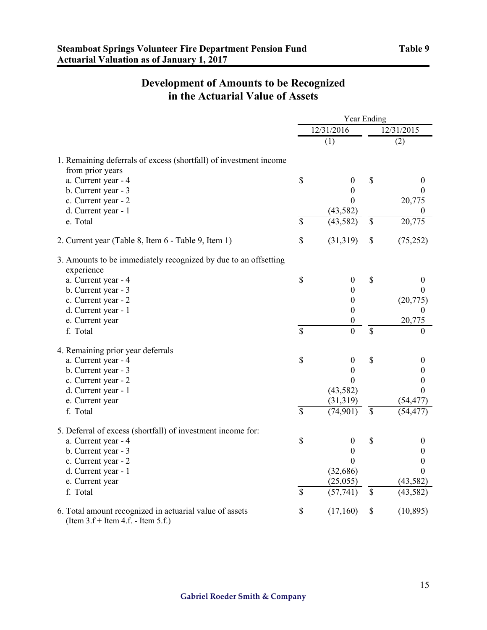## **Development of Amounts to be Recognized in the Actuarial Value of Assets**

|                                                                                                     | Year Ending              |                  |               |                  |
|-----------------------------------------------------------------------------------------------------|--------------------------|------------------|---------------|------------------|
|                                                                                                     |                          | 12/31/2016       |               | 12/31/2015       |
|                                                                                                     |                          | (1)              |               | (2)              |
| 1. Remaining deferrals of excess (shortfall) of investment income<br>from prior years               |                          |                  |               |                  |
| a. Current year - 4                                                                                 | \$                       | $\boldsymbol{0}$ | \$            | $\boldsymbol{0}$ |
| b. Current year - 3                                                                                 |                          | $\boldsymbol{0}$ |               | $\theta$         |
| c. Current year - 2                                                                                 |                          | $\theta$         |               | 20,775           |
| d. Current year - 1                                                                                 |                          | (43, 582)        |               | $\Omega$         |
| e. Total                                                                                            | $\overline{\mathcal{S}}$ | (43, 582)        | \$            | 20,775           |
| 2. Current year (Table 8, Item 6 - Table 9, Item 1)                                                 | \$                       | (31, 319)        | \$            | (75,252)         |
| 3. Amounts to be immediately recognized by due to an offsetting                                     |                          |                  |               |                  |
| experience<br>a. Current year - 4                                                                   | \$                       | $\boldsymbol{0}$ | $\mathcal{S}$ | $\bf{0}$         |
| b. Current year - 3                                                                                 |                          | $\boldsymbol{0}$ |               | $\theta$         |
| c. Current year - 2                                                                                 |                          | $\boldsymbol{0}$ |               | (20, 775)        |
| d. Current year - 1                                                                                 |                          | $\boldsymbol{0}$ |               | $\theta$         |
| e. Current year                                                                                     |                          | $\boldsymbol{0}$ |               | 20,775           |
| f. Total                                                                                            | $\mathbf S$              | $\overline{0}$   | $\mathcal{S}$ | $\theta$         |
| 4. Remaining prior year deferrals                                                                   |                          |                  |               |                  |
| a. Current year - 4                                                                                 | \$                       | $\boldsymbol{0}$ | \$            | $\theta$         |
| b. Current year - 3                                                                                 |                          | 0                |               | 0                |
| c. Current year - 2                                                                                 |                          | 0                |               | 0                |
| d. Current year - 1                                                                                 |                          | (43, 582)        |               | $\theta$         |
| e. Current year                                                                                     |                          | (31,319)         |               | (54, 477)        |
| f. Total                                                                                            | $\mathcal{S}$            | (74, 901)        | $\mathcal{S}$ | (54, 477)        |
| 5. Deferral of excess (shortfall) of investment income for:                                         |                          |                  |               |                  |
| a. Current year - 4                                                                                 | \$                       | $\boldsymbol{0}$ | \$            | $\boldsymbol{0}$ |
| b. Current year - 3                                                                                 |                          | $\theta$         |               | $\Omega$         |
| c. Current year - 2                                                                                 |                          | $\Omega$         |               | $\boldsymbol{0}$ |
| d. Current year - 1                                                                                 |                          | (32, 686)        |               | $\Omega$         |
| e. Current year                                                                                     |                          | (25,055)         |               | (43, 582)        |
| f. Total                                                                                            | $\mathbf S$              | (57,741)         | $\mathbf S$   | (43, 582)        |
| 6. Total amount recognized in actuarial value of assets<br>(Item $3.f +$ Item $4.f.$ - Item $5.f.)$ | \$                       | (17,160)         | \$            | (10, 895)        |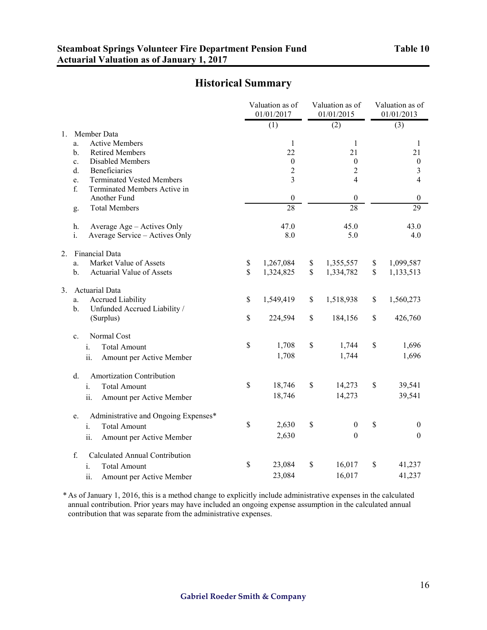## **Historical Summary**

|    |                                                                                       | Valuation as of<br>01/01/2017 |              | Valuation as of<br>01/01/2015 | Valuation as of<br>01/01/2013 |
|----|---------------------------------------------------------------------------------------|-------------------------------|--------------|-------------------------------|-------------------------------|
|    |                                                                                       | (1)                           |              | (2)                           | (3)                           |
| 1. | Member Data<br><b>Active Members</b><br>a.<br><b>Retired Members</b><br>$\mathbf b$ . | 1<br>22                       |              | 1<br>21                       | 1<br>21                       |
|    | Disabled Members<br>c.                                                                | $\boldsymbol{0}$              |              | $\boldsymbol{0}$              | $\boldsymbol{0}$              |
|    | d.<br>Beneficiaries                                                                   | $\overline{2}$                |              | $\overline{c}$                | 3                             |
|    | <b>Terminated Vested Members</b><br>e.<br>f.<br>Terminated Members Active in          | $\overline{3}$                |              | 4                             | 4                             |
|    | Another Fund                                                                          | $\boldsymbol{0}$              |              | $\boldsymbol{0}$              | $\boldsymbol{0}$              |
|    | <b>Total Members</b><br>g.                                                            | $\overline{28}$               |              | $\overline{28}$               | 29                            |
|    | Average Age - Actives Only<br>h.                                                      | 47.0                          |              | 45.0                          | 43.0                          |
|    | Average Service - Actives Only<br>i.                                                  | 8.0                           |              | 5.0                           | 4.0                           |
| 2. | Financial Data                                                                        |                               |              |                               |                               |
|    | Market Value of Assets<br>a.                                                          | \$<br>1,267,084               | \$           | 1,355,557                     | \$<br>1,099,587               |
|    | <b>Actuarial Value of Assets</b><br>b.                                                | \$<br>1,324,825               | $\mathbb{S}$ | 1,334,782                     | \$<br>1,133,513               |
| 3. | <b>Actuarial Data</b>                                                                 |                               |              |                               |                               |
|    | <b>Accrued Liability</b><br>a.<br>Unfunded Accrued Liability /<br>b.                  | \$<br>1,549,419               | \$           | 1,518,938                     | \$<br>1,560,273               |
|    | (Surplus)                                                                             | \$<br>224,594                 | \$           | 184,156                       | \$<br>426,760                 |
|    | Normal Cost<br>c.                                                                     |                               |              |                               |                               |
|    | <b>Total Amount</b><br>i.                                                             | \$<br>1,708                   | \$           | 1,744                         | \$<br>1,696                   |
|    | ii.<br>Amount per Active Member                                                       | 1,708                         |              | 1,744                         | 1,696                         |
|    | Amortization Contribution<br>d.                                                       |                               |              |                               |                               |
|    | <b>Total Amount</b><br>i.                                                             | \$<br>18,746                  | \$           | 14,273                        | \$<br>39,541                  |
|    | ii.<br>Amount per Active Member                                                       | 18,746                        |              | 14,273                        | 39,541                        |
|    | Administrative and Ongoing Expenses*<br>e.                                            |                               |              |                               |                               |
|    | <b>Total Amount</b><br>i.                                                             | \$<br>2,630                   | \$           | $\boldsymbol{0}$              | \$<br>$\overline{0}$          |
|    | ii.<br>Amount per Active Member                                                       | 2,630                         |              | $\boldsymbol{0}$              | $\boldsymbol{0}$              |
|    | f.<br><b>Calculated Annual Contribution</b>                                           |                               |              |                               |                               |
|    | <b>Total Amount</b><br>i.                                                             | \$<br>23,084                  | \$           | 16,017                        | \$<br>41,237                  |
|    | Amount per Active Member<br>11.                                                       | 23,084                        |              | 16,017                        | 41,237                        |

\* As of January 1, 2016, this is a method change to explicitly include administrative expenses in the calculated annual contribution. Prior years may have included an ongoing expense assumption in the calculated annual contribution that was separate from the administrative expenses.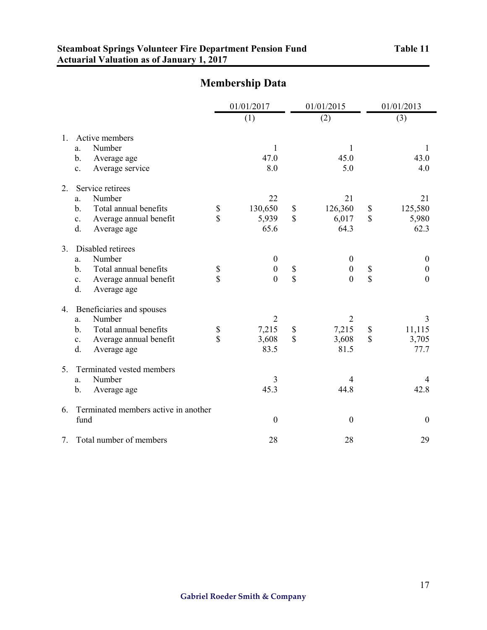|                |                                                                                                                                                      |                               | 01/01/2017<br>(1)                                      |                          | 01/01/2015<br>(2)                                    |                       | 01/01/2013<br>(3)                                |
|----------------|------------------------------------------------------------------------------------------------------------------------------------------------------|-------------------------------|--------------------------------------------------------|--------------------------|------------------------------------------------------|-----------------------|--------------------------------------------------|
| 1.             | Active members<br>Number<br>a.<br>$\mathbf b$ .<br>Average age<br>Average service<br>$\mathbf{c}$ .                                                  |                               | 1<br>47.0<br>8.0                                       |                          | 1<br>45.0<br>5.0                                     |                       | 1<br>43.0<br>4.0                                 |
| 2.             | Service retirees<br>Number<br>a.<br>$\mathbf{b}$ .<br>Total annual benefits<br>Average annual benefit<br>$\mathbf{c}$ .<br>$d$ .<br>Average age      | \$<br>$\overline{\mathbb{S}}$ | 22<br>130,650<br>5,939<br>65.6                         | \$<br>$\mathbf S$        | 21<br>126,360<br>6,017<br>64.3                       | $\$$<br>$\mathbf S$   | 21<br>125,580<br>5,980<br>62.3                   |
| 3 <sub>1</sub> | Disabled retirees<br>Number<br>a.<br>Total annual benefits<br>$\mathbf{b}$ .<br>Average annual benefit<br>$c_{\cdot}$<br>d.<br>Average age           | \$<br>\$                      | $\boldsymbol{0}$<br>$\boldsymbol{0}$<br>$\overline{0}$ | \$<br>\$                 | $\boldsymbol{0}$<br>$\boldsymbol{0}$<br>$\mathbf{0}$ | \$<br>$\mathbf S$     | $\boldsymbol{0}$<br>$\boldsymbol{0}$<br>$\theta$ |
| 4.             | Beneficiaries and spouses<br>Number<br>a.<br>Total annual benefits<br>$\mathbf b$ .<br>Average annual benefit<br>$\mathbf{c}$ .<br>d.<br>Average age | \$<br>$\overline{\mathbb{S}}$ | $\overline{2}$<br>7,215<br>3,608<br>83.5               | \$<br>$\mathbf{\hat{S}}$ | $\overline{2}$<br>7,215<br>3,608<br>81.5             | $\$$<br>$\mathsf{\$}$ | 3<br>11,115<br>3,705<br>77.7                     |
| 5.             | Terminated vested members<br>Number<br>a.<br>$\mathbf b$ .<br>Average age                                                                            |                               | 3<br>45.3                                              |                          | 4<br>44.8                                            |                       | $\overline{4}$<br>42.8                           |
| 6.             | Terminated members active in another<br>fund                                                                                                         |                               | $\boldsymbol{0}$                                       |                          | $\boldsymbol{0}$                                     |                       | $\boldsymbol{0}$                                 |
| 7.             | Total number of members                                                                                                                              |                               | 28                                                     |                          | 28                                                   |                       | 29                                               |

# **Membership Data**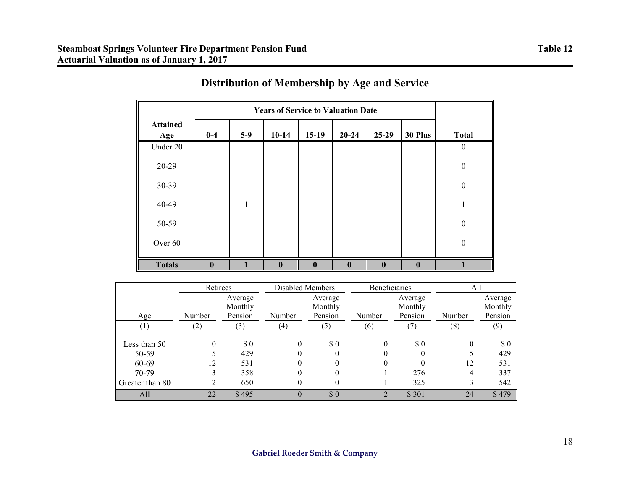|                        | <b>Years of Service to Valuation Date</b> |       |              |              |              |              |              |                  |
|------------------------|-------------------------------------------|-------|--------------|--------------|--------------|--------------|--------------|------------------|
| <b>Attained</b><br>Age | $0-4$                                     | $5-9$ | $10-14$      | $15-19$      | $20 - 24$    | $25-29$      | 30 Plus      | <b>Total</b>     |
| Under 20               |                                           |       |              |              |              |              |              | $\boldsymbol{0}$ |
| 20-29                  |                                           |       |              |              |              |              |              | $\boldsymbol{0}$ |
| 30-39                  |                                           |       |              |              |              |              |              | $\boldsymbol{0}$ |
| 40-49                  |                                           | 1     |              |              |              |              |              |                  |
| 50-59                  |                                           |       |              |              |              |              |              | $\boldsymbol{0}$ |
| Over 60                |                                           |       |              |              |              |              |              | $\boldsymbol{0}$ |
| <b>Totals</b>          | 0                                         |       | $\mathbf{0}$ | $\mathbf{0}$ | $\mathbf{0}$ | $\mathbf{0}$ | $\mathbf{0}$ |                  |

# **Distribution of Membership by Age and Service**

|                  | Retirees |                               | Disabled Members  |                               | Beneficiaries |                               | All    |                               |
|------------------|----------|-------------------------------|-------------------|-------------------------------|---------------|-------------------------------|--------|-------------------------------|
| Age              | Number   | Average<br>Monthly<br>Pension | Number            | Average<br>Monthly<br>Pension | Number        | Average<br>Monthly<br>Pension | Number | Average<br>Monthly<br>Pension |
| $\left(1\right)$ | (2)      | (3)                           | $\left( 4\right)$ | (5)                           | (6)           | (7)                           | (8)    | (9)                           |
| Less than 50     | $\theta$ | \$0                           | 0                 | \$0                           | $\theta$      | \$0                           | 0      | \$0                           |
| 50-59<br>60-69   | 12       | 429<br>531                    |                   |                               |               |                               | 12     | 429<br>531                    |
| 70-79            |          | 358                           |                   |                               |               | 276                           |        | 337                           |
| Greater than 80  |          | 650                           |                   |                               |               | 325                           |        | 542                           |
| All              | 22       | \$495                         |                   | \$0                           |               | \$301                         | 24     | \$479                         |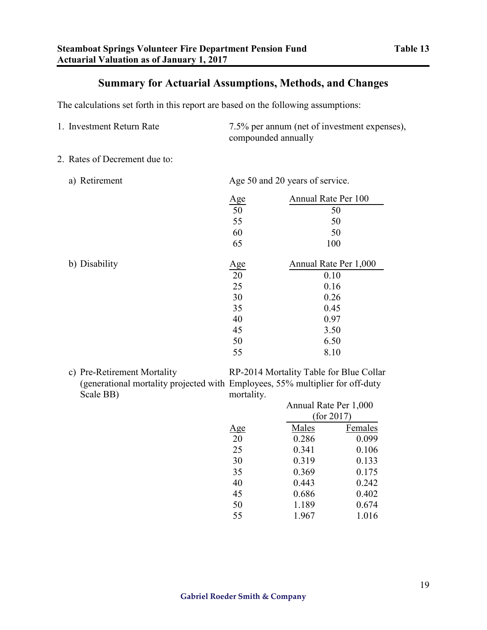## **Summary for Actuarial Assumptions, Methods, and Changes**

The calculations set forth in this report are based on the following assumptions:

- 1. Investment Return Rate 7.5% per annum (net of investment expenses), compounded annually
- 2. Rates of Decrement due to:
	-

a) Retirement Age 50 and 20 years of service.

|               |                         | Annual Rate Per 100   |
|---------------|-------------------------|-----------------------|
|               | $\frac{\text{Age}}{50}$ | 50                    |
|               | 55                      | 50                    |
|               | 60                      | 50                    |
|               | 65                      | 100                   |
| b) Disability | <u>Age</u>              | Annual Rate Per 1,000 |
|               | 20                      | 0.10                  |
|               | 25                      | 0.16                  |
|               | 30                      | 0.26                  |
|               | 35                      | 0.45                  |
|               | 40                      | 0.97                  |
|               | 45                      | 3.50                  |
|               | 50                      | 6.50                  |
|               | 55                      | 8.10                  |

c) Pre-Retirement Mortality (generational mortality projected with Employees, 55% multiplier for off-duty Scale BB)

RP-2014 Mortality Table for Blue Collar mortality.

|     |       | Annual Rate Per 1,000 |  |  |  |  |
|-----|-------|-----------------------|--|--|--|--|
|     |       | (for 2017)            |  |  |  |  |
| Age | Males | Females               |  |  |  |  |
| 20  | 0.286 | 0.099                 |  |  |  |  |
| 25  | 0.341 | 0.106                 |  |  |  |  |
| 30  | 0.319 | 0.133                 |  |  |  |  |
| 35  | 0.369 | 0.175                 |  |  |  |  |
| 40  | 0.443 | 0.242                 |  |  |  |  |
| 45  | 0.686 | 0.402                 |  |  |  |  |
| 50  | 1.189 | 0.674                 |  |  |  |  |
| 55  | 1.967 | 1.016                 |  |  |  |  |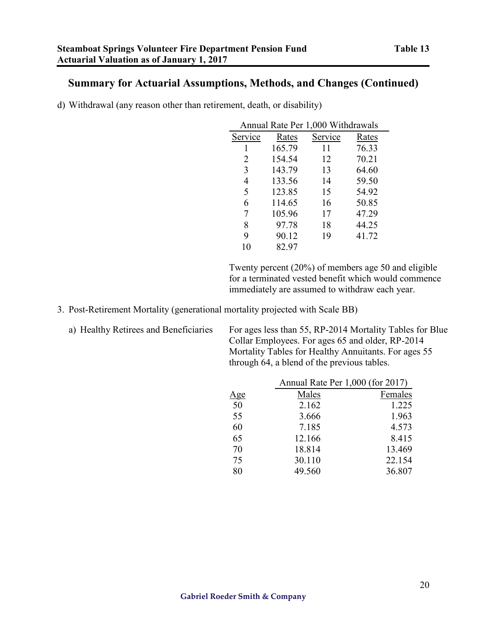## **Summary for Actuarial Assumptions, Methods, and Changes (Continued)**

d) Withdrawal (any reason other than retirement, death, or disability)

| Annual Rate Per 1,000 Withdrawals |        |         |       |  |  |  |  |
|-----------------------------------|--------|---------|-------|--|--|--|--|
| Service                           | Rates  | Service | Rates |  |  |  |  |
| 1                                 | 165.79 | 11      | 76.33 |  |  |  |  |
| 2                                 | 154.54 | 12      | 70.21 |  |  |  |  |
| 3                                 | 143.79 | 13      | 64.60 |  |  |  |  |
| 4                                 | 133.56 | 14      | 59.50 |  |  |  |  |
| 5                                 | 123.85 | 15      | 54.92 |  |  |  |  |
| 6                                 | 114.65 | 16      | 50.85 |  |  |  |  |
| 7                                 | 105.96 | 17      | 47.29 |  |  |  |  |
| 8                                 | 97.78  | 18      | 44.25 |  |  |  |  |
| 9                                 | 90.12  | 19      | 41.72 |  |  |  |  |
| 10                                | 82.97  |         |       |  |  |  |  |

Twenty percent (20%) of members age 50 and eligible for a terminated vested benefit which would commence immediately are assumed to withdraw each year.

3. Post-Retirement Mortality (generational mortality projected with Scale BB)

| a) Healthy Retirees and Beneficiaries |  |  |  |  |  |
|---------------------------------------|--|--|--|--|--|
|---------------------------------------|--|--|--|--|--|

For ages less than 55, RP-2014 Mortality Tables for Blue Collar Employees. For ages 65 and older, RP-2014 Mortality Tables for Healthy Annuitants. For ages 55 through 64, a blend of the previous tables.

|            | Annual Rate Per 1,000 (for 2017) |         |
|------------|----------------------------------|---------|
| <u>Age</u> | Males                            | Females |
| 50         | 2.162                            | 1.225   |
| 55         | 3.666                            | 1.963   |
| 60         | 7.185                            | 4.573   |
| 65         | 12.166                           | 8.415   |
| 70         | 18.814                           | 13.469  |
| 75         | 30.110                           | 22.154  |
| 80         | 49.560                           | 36.807  |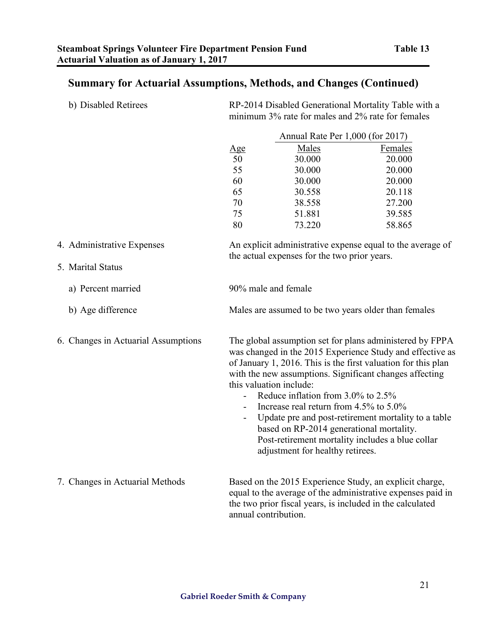# **Summary for Actuarial Assumptions, Methods, and Changes (Continued)**

| b) Disabled Retirees                | RP-2014 Disabled Generational Mortality Table with a<br>minimum 3% rate for males and 2% rate for females |                                                                                                                                                                                         |                                                                                                                                                                                                                                                                                                                                                              |  |  |  |
|-------------------------------------|-----------------------------------------------------------------------------------------------------------|-----------------------------------------------------------------------------------------------------------------------------------------------------------------------------------------|--------------------------------------------------------------------------------------------------------------------------------------------------------------------------------------------------------------------------------------------------------------------------------------------------------------------------------------------------------------|--|--|--|
|                                     | Annual Rate Per 1,000 (for 2017)                                                                          |                                                                                                                                                                                         |                                                                                                                                                                                                                                                                                                                                                              |  |  |  |
|                                     | <u>Age</u>                                                                                                | <b>Males</b>                                                                                                                                                                            | <b>Females</b>                                                                                                                                                                                                                                                                                                                                               |  |  |  |
|                                     | 50                                                                                                        | 30.000                                                                                                                                                                                  | 20.000                                                                                                                                                                                                                                                                                                                                                       |  |  |  |
|                                     | 55                                                                                                        | 30.000                                                                                                                                                                                  | 20.000                                                                                                                                                                                                                                                                                                                                                       |  |  |  |
|                                     | 60                                                                                                        | 30.000                                                                                                                                                                                  | 20.000                                                                                                                                                                                                                                                                                                                                                       |  |  |  |
|                                     | 65                                                                                                        | 30.558                                                                                                                                                                                  | 20.118                                                                                                                                                                                                                                                                                                                                                       |  |  |  |
|                                     | 70                                                                                                        | 38.558                                                                                                                                                                                  | 27.200                                                                                                                                                                                                                                                                                                                                                       |  |  |  |
|                                     | 75                                                                                                        | 51.881                                                                                                                                                                                  | 39.585                                                                                                                                                                                                                                                                                                                                                       |  |  |  |
|                                     | 80                                                                                                        | 73.220                                                                                                                                                                                  | 58.865                                                                                                                                                                                                                                                                                                                                                       |  |  |  |
| 4. Administrative Expenses          |                                                                                                           | the actual expenses for the two prior years.                                                                                                                                            | An explicit administrative expense equal to the average of                                                                                                                                                                                                                                                                                                   |  |  |  |
| 5. Marital Status                   |                                                                                                           |                                                                                                                                                                                         |                                                                                                                                                                                                                                                                                                                                                              |  |  |  |
| a) Percent married                  |                                                                                                           | 90% male and female                                                                                                                                                                     |                                                                                                                                                                                                                                                                                                                                                              |  |  |  |
| b) Age difference                   |                                                                                                           |                                                                                                                                                                                         | Males are assumed to be two years older than females                                                                                                                                                                                                                                                                                                         |  |  |  |
| 6. Changes in Actuarial Assumptions | $\overline{\phantom{0}}$<br>$\blacksquare$                                                                | this valuation include:<br>Reduce inflation from 3.0% to 2.5%<br>Increase real return from 4.5% to 5.0%<br>based on RP-2014 generational mortality.<br>adjustment for healthy retirees. | The global assumption set for plans administered by FPPA<br>was changed in the 2015 Experience Study and effective as<br>of January 1, 2016. This is the first valuation for this plan<br>with the new assumptions. Significant changes affecting<br>Update pre and post-retirement mortality to a table<br>Post-retirement mortality includes a blue collar |  |  |  |
| 7. Changes in Actuarial Methods     |                                                                                                           | annual contribution.                                                                                                                                                                    | Based on the 2015 Experience Study, an explicit charge,<br>equal to the average of the administrative expenses paid in<br>the two prior fiscal years, is included in the calculated                                                                                                                                                                          |  |  |  |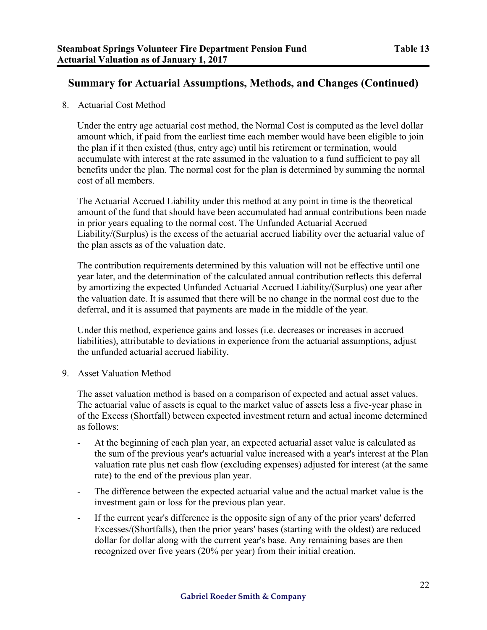## **Summary for Actuarial Assumptions, Methods, and Changes (Continued)**

8. Actuarial Cost Method

Under the entry age actuarial cost method, the Normal Cost is computed as the level dollar amount which, if paid from the earliest time each member would have been eligible to join the plan if it then existed (thus, entry age) until his retirement or termination, would accumulate with interest at the rate assumed in the valuation to a fund sufficient to pay all benefits under the plan. The normal cost for the plan is determined by summing the normal cost of all members.

The Actuarial Accrued Liability under this method at any point in time is the theoretical amount of the fund that should have been accumulated had annual contributions been made in prior years equaling to the normal cost. The Unfunded Actuarial Accrued Liability/(Surplus) is the excess of the actuarial accrued liability over the actuarial value of the plan assets as of the valuation date.

The contribution requirements determined by this valuation will not be effective until one year later, and the determination of the calculated annual contribution reflects this deferral by amortizing the expected Unfunded Actuarial Accrued Liability/(Surplus) one year after the valuation date. It is assumed that there will be no change in the normal cost due to the deferral, and it is assumed that payments are made in the middle of the year.

Under this method, experience gains and losses (i.e. decreases or increases in accrued liabilities), attributable to deviations in experience from the actuarial assumptions, adjust the unfunded actuarial accrued liability.

9. Asset Valuation Method

The asset valuation method is based on a comparison of expected and actual asset values. The actuarial value of assets is equal to the market value of assets less a five-year phase in of the Excess (Shortfall) between expected investment return and actual income determined as follows:

- At the beginning of each plan year, an expected actuarial asset value is calculated as the sum of the previous year's actuarial value increased with a year's interest at the Plan valuation rate plus net cash flow (excluding expenses) adjusted for interest (at the same rate) to the end of the previous plan year.
- The difference between the expected actuarial value and the actual market value is the investment gain or loss for the previous plan year.
- If the current year's difference is the opposite sign of any of the prior years' deferred Excesses/(Shortfalls), then the prior years' bases (starting with the oldest) are reduced dollar for dollar along with the current year's base. Any remaining bases are then recognized over five years (20% per year) from their initial creation.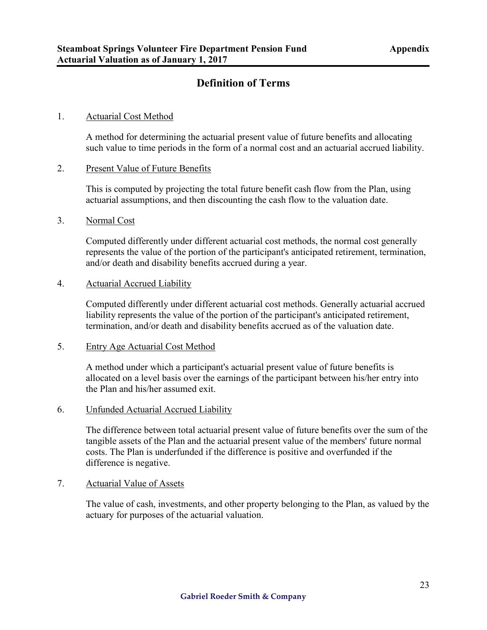## **Definition of Terms**

#### 1. Actuarial Cost Method

A method for determining the actuarial present value of future benefits and allocating such value to time periods in the form of a normal cost and an actuarial accrued liability.

#### 2. Present Value of Future Benefits

This is computed by projecting the total future benefit cash flow from the Plan, using actuarial assumptions, and then discounting the cash flow to the valuation date.

### 3. Normal Cost

Computed differently under different actuarial cost methods, the normal cost generally represents the value of the portion of the participant's anticipated retirement, termination, and/or death and disability benefits accrued during a year.

#### 4. Actuarial Accrued Liability

Computed differently under different actuarial cost methods. Generally actuarial accrued liability represents the value of the portion of the participant's anticipated retirement, termination, and/or death and disability benefits accrued as of the valuation date.

#### 5. Entry Age Actuarial Cost Method

A method under which a participant's actuarial present value of future benefits is allocated on a level basis over the earnings of the participant between his/her entry into the Plan and his/her assumed exit.

### 6. Unfunded Actuarial Accrued Liability

The difference between total actuarial present value of future benefits over the sum of the tangible assets of the Plan and the actuarial present value of the members' future normal costs. The Plan is underfunded if the difference is positive and overfunded if the difference is negative.

### 7. Actuarial Value of Assets

The value of cash, investments, and other property belonging to the Plan, as valued by the actuary for purposes of the actuarial valuation.